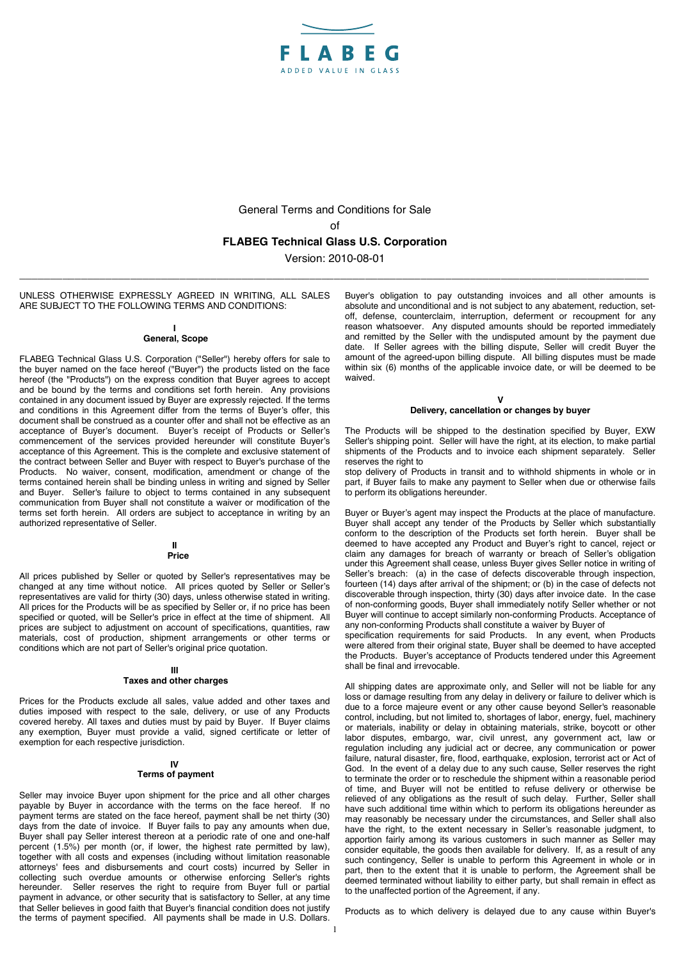

General Terms and Conditions for Sale of **FLABEG Technical Glass U.S. Corporation** 

Version: 2010-08-01 \_\_\_\_\_\_\_\_\_\_\_\_\_\_\_\_\_\_\_\_\_\_\_\_\_\_\_\_\_\_\_\_\_\_\_\_\_\_\_\_\_\_\_\_\_\_\_\_\_\_\_\_\_\_\_\_\_\_\_\_\_\_\_\_\_\_\_\_\_\_\_\_\_\_\_\_\_\_\_\_\_\_\_\_\_\_\_\_\_\_\_\_\_\_\_\_\_\_\_\_\_\_

UNLESS OTHERWISE EXPRESSLY AGREED IN WRITING, ALL SALES ARE SUBJECT TO THE FOLLOWING TERMS AND CONDITIONS:

#### **I General, Scope**

FLABEG Technical Glass U.S. Corporation ("Seller") hereby offers for sale to the buyer named on the face hereof ("Buyer") the products listed on the face hereof (the "Products") on the express condition that Buyer agrees to accept and be bound by the terms and conditions set forth herein. Any provisions contained in any document issued by Buyer are expressly rejected. If the terms and conditions in this Agreement differ from the terms of Buyer's offer, this document shall be construed as a counter offer and shall not be effective as an acceptance of Buyer's document. Buyer's receipt of Products or Seller's commencement of the services provided hereunder will constitute Buyer's acceptance of this Agreement. This is the complete and exclusive statement of the contract between Seller and Buyer with respect to Buyer's purchase of the Products. No waiver, consent, modification, amendment or change of the terms contained herein shall be binding unless in writing and signed by Seller and Buyer. Seller's failure to object to terms contained in any subsequent communication from Buyer shall not constitute a waiver or modification of the terms set forth herein. All orders are subject to acceptance in writing by an authorized representative of Seller.

#### **II Price**

All prices published by Seller or quoted by Seller's representatives may be changed at any time without notice. All prices quoted by Seller or Seller's representatives are valid for thirty (30) days, unless otherwise stated in writing. All prices for the Products will be as specified by Seller or, if no price has been specified or quoted, will be Seller's price in effect at the time of shipment. All prices are subject to adjustment on account of specifications, quantities, raw materials, cost of production, shipment arrangements or other terms or conditions which are not part of Seller's original price quotation.

# **III**

# **Taxes and other charges**

Prices for the Products exclude all sales, value added and other taxes and duties imposed with respect to the sale, delivery, or use of any Products covered hereby. All taxes and duties must by paid by Buyer. If Buyer claims any exemption, Buyer must provide a valid, signed certificate or letter of exemption for each respective jurisdiction.

# **IV**

# **Terms of payment**

Seller may invoice Buyer upon shipment for the price and all other charges payable by Buyer in accordance with the terms on the face hereof. If no payment terms are stated on the face hereof, payment shall be net thirty (30) days from the date of invoice. If Buyer fails to pay any amounts when due, Buyer shall pay Seller interest thereon at a periodic rate of one and one-half percent (1.5%) per month (or, if lower, the highest rate permitted by law), together with all costs and expenses (including without limitation reasonable attorneys' fees and disbursements and court costs) incurred by Seller in collecting such overdue amounts or otherwise enforcing Seller's rights hereunder. Seller reserves the right to require from Buyer full or partial payment in advance, or other security that is satisfactory to Seller, at any time that Seller believes in good faith that Buyer's financial condition does not justify the terms of payment specified. All payments shall be made in U.S. Dollars.

Buyer's obligation to pay outstanding invoices and all other amounts is absolute and unconditional and is not subject to any abatement, reduction, setoff, defense, counterclaim, interruption, deferment or recoupment for any reason whatsoever. Any disputed amounts should be reported immediately and remitted by the Seller with the undisputed amount by the payment due date. If Seller agrees with the billing dispute, Seller will credit Buyer the and the agreed-upon billing dispute. All billing disputes must be made within six (6) months of the applicable invoice date, or will be deemed to be waived.

### **V Delivery, cancellation or changes by buyer**

The Products will be shipped to the destination specified by Buyer, EXW Seller's shipping point. Seller will have the right, at its election, to make partial shipments of the Products and to invoice each shipment separately. Seller reserves the right to

stop delivery of Products in transit and to withhold shipments in whole or in part, if Buyer fails to make any payment to Seller when due or otherwise fails to perform its obligations hereunder.

Buyer or Buyer's agent may inspect the Products at the place of manufacture. Buyer shall accept any tender of the Products by Seller which substantially conform to the description of the Products set forth herein. Buyer shall be deemed to have accepted any Product and Buyer's right to cancel, reject or claim any damages for breach of warranty or breach of Seller's obligation under this Agreement shall cease, unless Buyer gives Seller notice in writing of Seller's breach: (a) in the case of defects discoverable through inspection, fourteen (14) days after arrival of the shipment; or (b) in the case of defects not discoverable through inspection, thirty (30) days after invoice date. In the case of non-conforming goods, Buyer shall immediately notify Seller whether or not Buyer will continue to accept similarly non-conforming Products. Acceptance of any non-conforming Products shall constitute a waiver by Buyer of

specification requirements for said Products. In any event, when Products were altered from their original state, Buyer shall be deemed to have accepted the Products. Buyer's acceptance of Products tendered under this Agreement shall be final and irrevocable.

All shipping dates are approximate only, and Seller will not be liable for any loss or damage resulting from any delay in delivery or failure to deliver which is due to a force majeure event or any other cause beyond Seller's reasonable control, including, but not limited to, shortages of labor, energy, fuel, machinery or materials, inability or delay in obtaining materials, strike, boycott or other labor disputes, embargo, war, civil unrest, any government act, law or regulation including any judicial act or decree, any communication or power failure, natural disaster, fire, flood, earthquake, explosion, terrorist act or Act of God. In the event of a delay due to any such cause, Seller reserves the right to terminate the order or to reschedule the shipment within a reasonable period of time, and Buyer will not be entitled to refuse delivery or otherwise be relieved of any obligations as the result of such delay. Further, Seller shall have such additional time within which to perform its obligations hereunder as may reasonably be necessary under the circumstances, and Seller shall also have the right, to the extent necessary in Seller's reasonable judgment, to apportion fairly among its various customers in such manner as Seller may consider equitable, the goods then available for delivery. If, as a result of any such contingency, Seller is unable to perform this Agreement in whole or in part, then to the extent that it is unable to perform, the Agreement shall be deemed terminated without liability to either party, but shall remain in effect as to the unaffected portion of the Agreement, if any.

Products as to which delivery is delayed due to any cause within Buyer's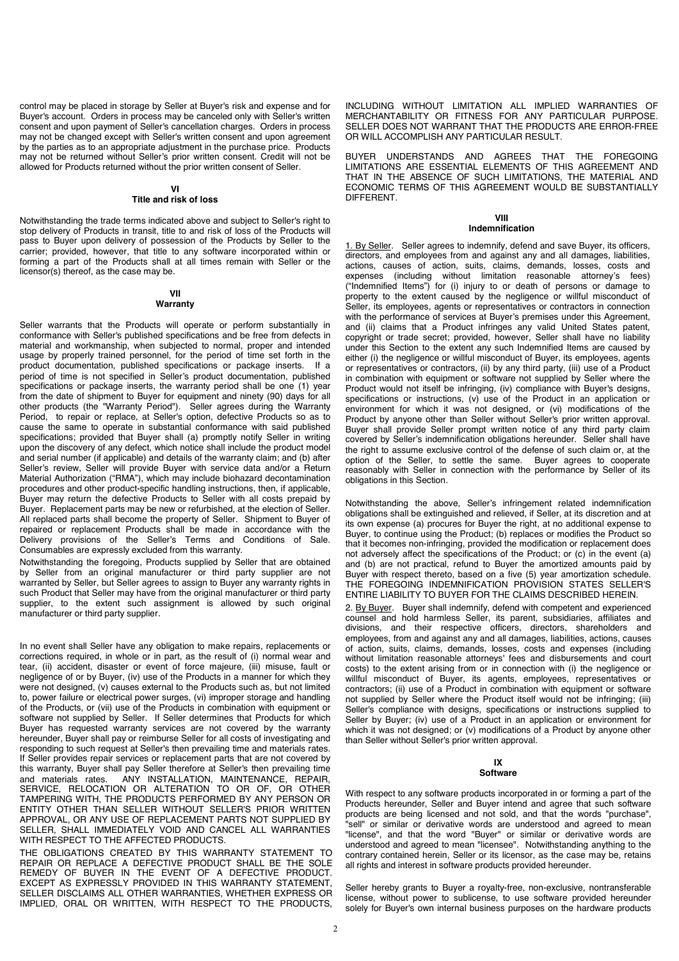control may be placed in storage by Seller at Buyer's risk and expense and for Buyer's account. Orders in process may be canceled only with Seller's written consent and upon payment of Seller's cancellation charges. Orders in process may not be changed except with Seller's written consent and upon agreement by the parties as to an appropriate adjustment in the purchase price. Products may not be returned without Seller's prior written consent. Credit will not be allowed for Products returned without the prior written consent of Seller.

# **VI**

# **Title and risk of loss**

Notwithstanding the trade terms indicated above and subject to Seller's right to stop delivery of Products in transit, title to and risk of loss of the Products will pass to Buyer upon delivery of possession of the Products by Seller to the carrier; provided, however, that title to any software incorporated within or forming a part of the Products shall at all times remain with Seller or the licensor(s) thereof, as the case may be.

### **VII Warranty**

Seller warrants that the Products will operate or perform substantially in conformance with Seller's published specifications and be free from defects in material and workmanship, when subjected to normal, proper and intended usage by properly trained personnel, for the period of time set forth in the product documentation, published specifications or package inserts. If a period of time is not specified in Seller's product documentation, published specifications or package inserts, the warranty period shall be one (1) year from the date of shipment to Buyer for equipment and ninety (90) days for all other products (the "Warranty Period"). Seller agrees during the Warranty Period, to repair or replace, at Seller's option, defective Products so as to cause the same to operate in substantial conformance with said published specifications; provided that Buyer shall (a) promptly notify Seller in writing upon the discovery of any defect, which notice shall include the product model and serial number (if applicable) and details of the warranty claim; and (b) after Seller's review, Seller will provide Buyer with service data and/or a Return Material Authorization ("RMA"), which may include biohazard decontamination procedures and other product-specific handling instructions, then, if applicable, Buyer may return the defective Products to Seller with all costs prepaid by Buyer. Replacement parts may be new or refurbished, at the election of Seller. All replaced parts shall become the property of Seller. Shipment to Buyer of repaired or replacement Products shall be made in accordance with the Delivery provisions of the Seller's Terms and Conditions of Sale. Consumables are expressly excluded from this warranty.

Notwithstanding the foregoing, Products supplied by Seller that are obtained by Seller from an original manufacturer or third party supplier are not warranted by Seller, but Seller agrees to assign to Buyer any warranty rights in such Product that Seller may have from the original manufacturer or third party supplier, to the extent such assignment is allowed by such original manufacturer or third party supplier.

In no event shall Seller have any obligation to make repairs, replacements or corrections required, in whole or in part, as the result of (i) normal wear and tear, (ii) accident, disaster or event of force majeure, (iii) misuse, fault or negligence of or by Buyer, (iv) use of the Products in a manner for which they were not designed, (v) causes external to the Products such as, but not limited to, power failure or electrical power surges, (vi) improper storage and handling of the Products, or (vii) use of the Products in combination with equipment or software not supplied by Seller. If Seller determines that Products for which Buyer has requested warranty services are not covered by the warranty hereunder, Buyer shall pay or reimburse Seller for all costs of investigating and responding to such request at Seller's then prevailing time and materials rates. If Seller provides repair services or replacement parts that are not covered by this warranty, Buyer shall pay Seller therefore at Seller's then prevailing time and materials rates. ANY INSTALLATION, MAINTENANCE, REPAIR, SERVICE, RELOCATION OR ALTERATION TO OR OF, OR OTHER TAMPERING WITH, THE PRODUCTS PERFORMED BY ANY PERSON OR ENTITY OTHER THAN SELLER WITHOUT SELLER'S PRIOR WRITTEN APPROVAL, OR ANY USE OF REPLACEMENT PARTS NOT SUPPLIED BY SELLER, SHALL IMMEDIATELY VOID AND CANCEL ALL WARRANTIES WITH RESPECT TO THE AFFECTED PRODUCTS.

THE OBLIGATIONS CREATED BY THIS WARRANTY STATEMENT TO REPAIR OR REPLACE A DEFECTIVE PRODUCT SHALL BE THE SOLE REMEDY OF BUYER IN THE EVENT OF A DEFECTIVE PRODUCT. EXCEPT AS EXPRESSLY PROVIDED IN THIS WARRANTY STATEMENT, SELLER DISCLAIMS ALL OTHER WARRANTIES, WHETHER EXPRESS OR IMPLIED, ORAL OR WRITTEN, WITH RESPECT TO THE PRODUCTS,

INCLUDING WITHOUT LIMITATION ALL IMPLIED WARRANTIES OF MERCHANTABILITY OR FITNESS FOR ANY PARTICULAR PURPOSE. SELLER DOES NOT WARRANT THAT THE PRODUCTS ARE FRROR-FREE OR WILL ACCOMPLISH ANY PARTICULAR RESULT.

BUYER UNDERSTANDS AND AGREES THAT THE FOREGOING LIMITATIONS ARE ESSENTIAL ELEMENTS OF THIS AGREEMENT AND THAT IN THE ABSENCE OF SUCH LIMITATIONS, THE MATERIAL AND ECONOMIC TERMS OF THIS AGREEMENT WOULD BE SUBSTANTIALLY **DIFFERENT** 

### **VIII Indemnification**

1. By Seller. Seller agrees to indemnify, defend and save Buyer, its officers, directors, and employees from and against any and all damages, liabilities, actions, causes of action, suits, claims, demands, losses, costs and expenses (including without limitation reasonable attorney's fees) ("Indemnified Items") for (i) injury to or death of persons or damage to property to the extent caused by the negligence or willful misconduct of Seller, its employees, agents or representatives or contractors in connection with the performance of services at Buyer's premises under this Agreement, and (ii) claims that a Product infringes any valid United States patent, copyright or trade secret; provided, however, Seller shall have no liability under this Section to the extent any such Indemnified Items are caused by either (i) the negligence or willful misconduct of Buyer, its employees, agents or representatives or contractors, (ii) by any third party, (iii) use of a Product in combination with equipment or software not supplied by Seller where the Product would not itself be infringing, (iv) compliance with Buyer's designs, specifications or instructions, (v) use of the Product in an application or environment for which it was not designed, or (vi) modifications of the Product by anyone other than Seller without Seller's prior written approval. Buyer shall provide Seller prompt written notice of any third party claim covered by Seller's indemnification obligations hereunder. Seller shall have the right to assume exclusive control of the defense of such claim or, at the option of the Seller, to settle the same. Buyer agrees to cooperate reasonably with Seller in connection with the performance by Seller of its obligations in this Section.

Notwithstanding the above, Seller's infringement related indemnification obligations shall be extinguished and relieved, if Seller, at its discretion and at its own expense (a) procures for Buyer the right, at no additional expense to Buyer, to continue using the Product; (b) replaces or modifies the Product so that it becomes non-infringing, provided the modification or replacement does not adversely affect the specifications of the Product; or (c) in the event (a) and (b) are not practical, refund to Buyer the amortized amounts paid by Buyer with respect thereto, based on a five (5) year amortization schedule. THE FOREGOING INDEMNIFICATION PROVISION STATES SELLER'S ENTIRE LIABILITY TO BUYER FOR THE CLAIMS DESCRIBED HEREIN.

2. By Buyer. Buyer shall indemnify, defend with competent and experienced counsel and hold harmless Seller, its parent, subsidiaries, affiliates and divisions, and their respective officers, directors, shareholders and employees, from and against any and all damages, liabilities, actions, causes of action, suits, claims, demands, losses, costs and expenses (including without limitation reasonable attorneys' fees and disbursements and court costs) to the extent arising from or in connection with (i) the negligence or willful misconduct of Buyer, its agents, employees, representatives or contractors; (ii) use of a Product in combination with equipment or software not supplied by Seller where the Product itself would not be infringing; (iii) Seller's compliance with designs, specifications or instructions supplied to Seller by Buyer; (iv) use of a Product in an application or environment for which it was not designed; or (v) modifications of a Product by anyone other than Seller without Seller's prior written approval.

### **IX Software**

With respect to any software products incorporated in or forming a part of the Products hereunder, Seller and Buyer intend and agree that such software products are being licensed and not sold, and that the words "purchase", "sell" or similar or derivative words are understood and agreed to mean "license", and that the word "Buyer" or similar or derivative words are understood and agreed to mean "licensee". Notwithstanding anything to the contrary contained herein, Seller or its licensor, as the case may be, retains all rights and interest in software products provided hereunder.

Seller hereby grants to Buyer a royalty-free, non-exclusive, nontransferable license, without power to sublicense, to use software provided hereunder solely for Buyer's own internal business purposes on the hardware products